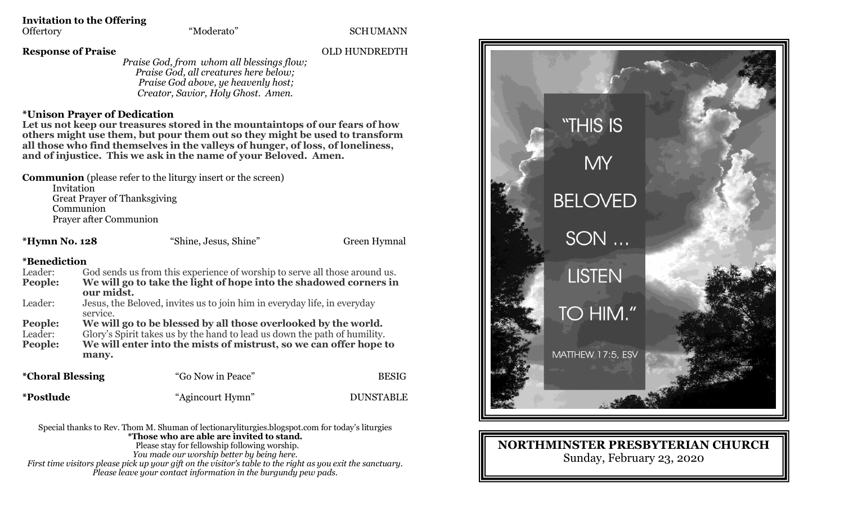**Invitation to the Offering**<br>Offertory "Moderato"

SCHUMANN

**Response of Praise** OLD HUNDREDTH

*Praise God, from whom all blessings flow; Praise God, all creatures here below; Praise God above, ye heavenly host; Creator, Savior, Holy Ghost. Amen.*

## **\*Unison Prayer of Dedication**

**Let us not keep our treasures stored in the mountaintops of our fears of how others might use them, but pour them out so they might be used to transform all those who find themselves in the valleys of hunger, of loss, of loneliness, and of injustice. This we ask in the name of your Beloved. Amen.**

**Communion** (please refer to the liturgy insert or the screen)

Invitation Great Prayer of Thanksgiving Communion Prayer after Communion

**\*Hymn No. 128** "Shine, Jesus, Shine" Green Hymnal

## **\*Benediction**

| Leader:                        |            | God sends us from this experience of worship to serve all those around us. |              |
|--------------------------------|------------|----------------------------------------------------------------------------|--------------|
| People:                        |            | We will go to take the light of hope into the shadowed corners in          |              |
|                                | our midst. |                                                                            |              |
| Leader:                        |            | Jesus, the Beloved, invites us to join him in everyday life, in everyday   |              |
|                                | service.   |                                                                            |              |
| People:                        |            | We will go to be blessed by all those overlooked by the world.             |              |
| Leader:                        |            | Glory's Spirit takes us by the hand to lead us down the path of humility.  |              |
| People:                        |            | We will enter into the mists of mistrust, so we can offer hope to          |              |
|                                | many.      |                                                                            |              |
| <i><b>*Choral Blessing</b></i> |            | "Go Now in Peace"                                                          | <b>BESIG</b> |
|                                |            |                                                                            |              |

**\*Postlude** "Agincourt Hymn"DUNSTABLE

Special thanks to Rev. Thom M. Shuman of lectionaryliturgies.blogspot.com for today's liturgies **\*Those who are able are invited to stand.** Please stay for fellowship following worship. *You made our worship better by being here. First time visitors please pick up your gift on the visitor's table to the right as you exit the sanctuary. Please leave your contact information in the burgundy pew pads.*



**NORTHMINSTER PRESBYTERIAN CHURCH** Sunday, February 23, 2020